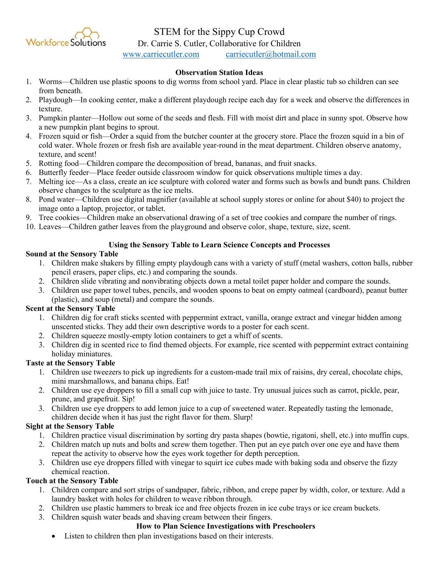

# STEM for the Sippy Cup Crowd

Dr. Carrie S. Cutler, Collaborative for Children

[www.carriecutler.com](http://www.carriecutler.com/) [carriecutler@hotmail.com](mailto:carriecutler@hotmail.com)

# **Observation Station Ideas**

- 1. Worms—Children use plastic spoons to dig worms from school yard. Place in clear plastic tub so children can see from beneath.
- 2. Playdough—In cooking center, make a different playdough recipe each day for a week and observe the differences in texture.
- 3. Pumpkin planter—Hollow out some of the seeds and flesh. Fill with moist dirt and place in sunny spot. Observe how a new pumpkin plant begins to sprout.
- 4. Frozen squid or fish—Order a squid from the butcher counter at the grocery store. Place the frozen squid in a bin of cold water. Whole frozen or fresh fish are available year-round in the meat department. Children observe anatomy, texture, and scent!
- 5. Rotting food—Children compare the decomposition of bread, bananas, and fruit snacks.
- 6. Butterfly feeder—Place feeder outside classroom window for quick observations multiple times a day.
- 7. Melting ice—As a class, create an ice sculpture with colored water and forms such as bowls and bundt pans. Children observe changes to the sculpture as the ice melts.
- 8. Pond water—Children use digital magnifier (available at school supply stores or online for about \$40) to project the image onto a laptop, projector, or tablet.
- 9. Tree cookies—Children make an observational drawing of a set of tree cookies and compare the number of rings.
- 10. Leaves—Children gather leaves from the playground and observe color, shape, texture, size, scent.

# **Using the Sensory Table to Learn Science Concepts and Processes**

#### **Sound at the Sensory Table**

- 1. Children make shakers by filling empty playdough cans with a variety of stuff (metal washers, cotton balls, rubber pencil erasers, paper clips, etc.) and comparing the sounds.
- 2. Children slide vibrating and nonvibrating objects down a metal toilet paper holder and compare the sounds.
- 3. Children use paper towel tubes, pencils, and wooden spoons to beat on empty oatmeal (cardboard), peanut butter (plastic), and soup (metal) and compare the sounds.

# **Scent at the Sensory Table**

- 1. Children dig for craft sticks scented with peppermint extract, vanilla, orange extract and vinegar hidden among unscented sticks. They add their own descriptive words to a poster for each scent.
- 2. Children squeeze mostly-empty lotion containers to get a whiff of scents.
- 3. Children dig in scented rice to find themed objects. For example, rice scented with peppermint extract containing holiday miniatures.

# **Taste at the Sensory Table**

- 1. Children use tweezers to pick up ingredients for a custom-made trail mix of raisins, dry cereal, chocolate chips, mini marshmallows, and banana chips. Eat!
- 2. Children use eye droppers to fill a small cup with juice to taste. Try unusual juices such as carrot, pickle, pear, prune, and grapefruit. Sip!
- 3. Children use eye droppers to add lemon juice to a cup of sweetened water. Repeatedly tasting the lemonade, children decide when it has just the right flavor for them. Slurp!

# **Sight at the Sensory Table**

- 1. Children practice visual discrimination by sorting dry pasta shapes (bowtie, rigatoni, shell, etc.) into muffin cups.
- 2. Children match up nuts and bolts and screw them together. Then put an eye patch over one eye and have them repeat the activity to observe how the eyes work together for depth perception.
- 3. Children use eye droppers filled with vinegar to squirt ice cubes made with baking soda and observe the fizzy chemical reaction.

# **Touch at the Sensory Table**

- 1. Children compare and sort strips of sandpaper, fabric, ribbon, and crepe paper by width, color, or texture. Add a laundry basket with holes for children to weave ribbon through.
- 2. Children use plastic hammers to break ice and free objects frozen in ice cube trays or ice cream buckets.
- 3. Children squish water beads and shaving cream between their fingers.

#### **How to Plan Science Investigations with Preschoolers**

• Listen to children then plan investigations based on their interests.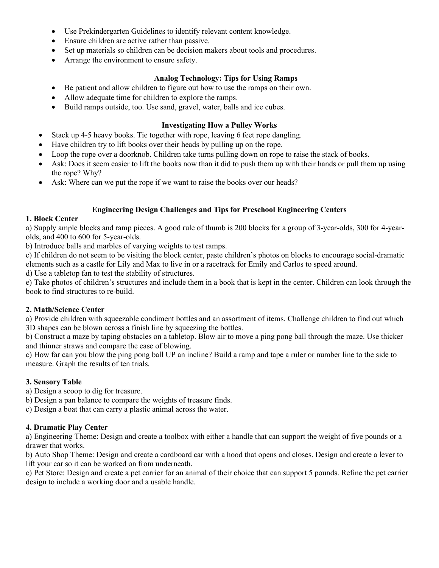- Use Prekindergarten Guidelines to identify relevant content knowledge.
- Ensure children are active rather than passive.
- Set up materials so children can be decision makers about tools and procedures.
- Arrange the environment to ensure safety.

#### **Analog Technology: Tips for Using Ramps**

- Be patient and allow children to figure out how to use the ramps on their own.
- Allow adequate time for children to explore the ramps.
- Build ramps outside, too. Use sand, gravel, water, balls and ice cubes.

#### **Investigating How a Pulley Works**

- Stack up 4-5 heavy books. Tie together with rope, leaving 6 feet rope dangling.
- Have children try to lift books over their heads by pulling up on the rope.
- Loop the rope over a doorknob. Children take turns pulling down on rope to raise the stack of books.
- Ask: Does it seem easier to lift the books now than it did to push them up with their hands or pull them up using the rope? Why?
- Ask: Where can we put the rope if we want to raise the books over our heads?

#### **Engineering Design Challenges and Tips for Preschool Engineering Centers**

#### **1. Block Center**

a) Supply ample blocks and ramp pieces. A good rule of thumb is 200 blocks for a group of 3-year-olds, 300 for 4-yearolds, and 400 to 600 for 5-year-olds.

b) Introduce balls and marbles of varying weights to test ramps.

c) If children do not seem to be visiting the block center, paste children's photos on blocks to encourage social-dramatic elements such as a castle for Lily and Max to live in or a racetrack for Emily and Carlos to speed around.

d) Use a tabletop fan to test the stability of structures.

e) Take photos of children's structures and include them in a book that is kept in the center. Children can look through the book to find structures to re-build.

# **2. Math/Science Center**

a) Provide children with squeezable condiment bottles and an assortment of items. Challenge children to find out which 3D shapes can be blown across a finish line by squeezing the bottles.

b) Construct a maze by taping obstacles on a tabletop. Blow air to move a ping pong ball through the maze. Use thicker and thinner straws and compare the ease of blowing.

c) How far can you blow the ping pong ball UP an incline? Build a ramp and tape a ruler or number line to the side to measure. Graph the results of ten trials.

# **3. Sensory Table**

a) Design a scoop to dig for treasure.

b) Design a pan balance to compare the weights of treasure finds.

c) Design a boat that can carry a plastic animal across the water.

# **4. Dramatic Play Center**

a) Engineering Theme: Design and create a toolbox with either a handle that can support the weight of five pounds or a drawer that works.

b) Auto Shop Theme: Design and create a cardboard car with a hood that opens and closes. Design and create a lever to lift your car so it can be worked on from underneath.

c) Pet Store: Design and create a pet carrier for an animal of their choice that can support 5 pounds. Refine the pet carrier design to include a working door and a usable handle.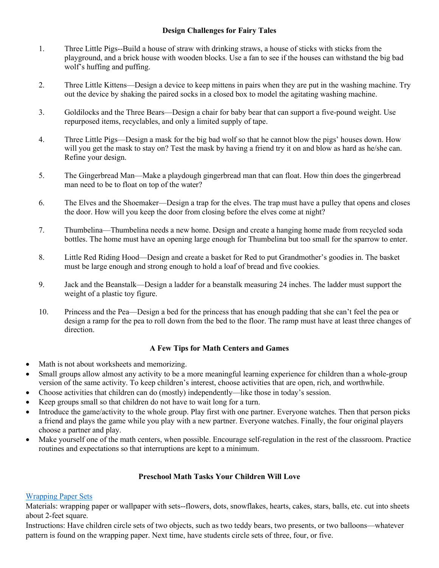## **Design Challenges for Fairy Tales**

- 1. Three Little Pigs--Build a house of straw with drinking straws, a house of sticks with sticks from the playground, and a brick house with wooden blocks. Use a fan to see if the houses can withstand the big bad wolf's huffing and puffing.
- 2. Three Little Kittens—Design a device to keep mittens in pairs when they are put in the washing machine. Try out the device by shaking the paired socks in a closed box to model the agitating washing machine.
- 3. Goldilocks and the Three Bears—Design a chair for baby bear that can support a five-pound weight. Use repurposed items, recyclables, and only a limited supply of tape.
- 4. Three Little Pigs—Design a mask for the big bad wolf so that he cannot blow the pigs' houses down. How will you get the mask to stay on? Test the mask by having a friend try it on and blow as hard as he/she can. Refine your design.
- 5. The Gingerbread Man—Make a playdough gingerbread man that can float. How thin does the gingerbread man need to be to float on top of the water?
- 6. The Elves and the Shoemaker—Design a trap for the elves. The trap must have a pulley that opens and closes the door. How will you keep the door from closing before the elves come at night?
- 7. Thumbelina—Thumbelina needs a new home. Design and create a hanging home made from recycled soda bottles. The home must have an opening large enough for Thumbelina but too small for the sparrow to enter.
- 8. Little Red Riding Hood—Design and create a basket for Red to put Grandmother's goodies in. The basket must be large enough and strong enough to hold a loaf of bread and five cookies.
- 9. Jack and the Beanstalk—Design a ladder for a beanstalk measuring 24 inches. The ladder must support the weight of a plastic toy figure.
- 10. Princess and the Pea—Design a bed for the princess that has enough padding that she can't feel the pea or design a ramp for the pea to roll down from the bed to the floor. The ramp must have at least three changes of direction.

#### **A Few Tips for Math Centers and Games**

- Math is not about worksheets and memorizing.
- Small groups allow almost any activity to be a more meaningful learning experience for children than a whole-group version of the same activity. To keep children's interest, choose activities that are open, rich, and worthwhile.
- Choose activities that children can do (mostly) independently—like those in today's session.
- Keep groups small so that children do not have to wait long for a turn.
- Introduce the game/activity to the whole group. Play first with one partner. Everyone watches. Then that person picks a friend and plays the game while you play with a new partner. Everyone watches. Finally, the four original players choose a partner and play.
- Make yourself one of the math centers, when possible. Encourage self-regulation in the rest of the classroom. Practice routines and expectations so that interruptions are kept to a minimum.

# **Preschool Math Tasks Your Children Will Love**

#### [Wrapping Paper Sets](https://youtu.be/HdXwbZ86xAA)

Materials: wrapping paper or wallpaper with sets--flowers, dots, snowflakes, hearts, cakes, stars, balls, etc. cut into sheets about 2-feet square.

Instructions: Have children circle sets of two objects, such as two teddy bears, two presents, or two balloons—whatever pattern is found on the wrapping paper. Next time, have students circle sets of three, four, or five.